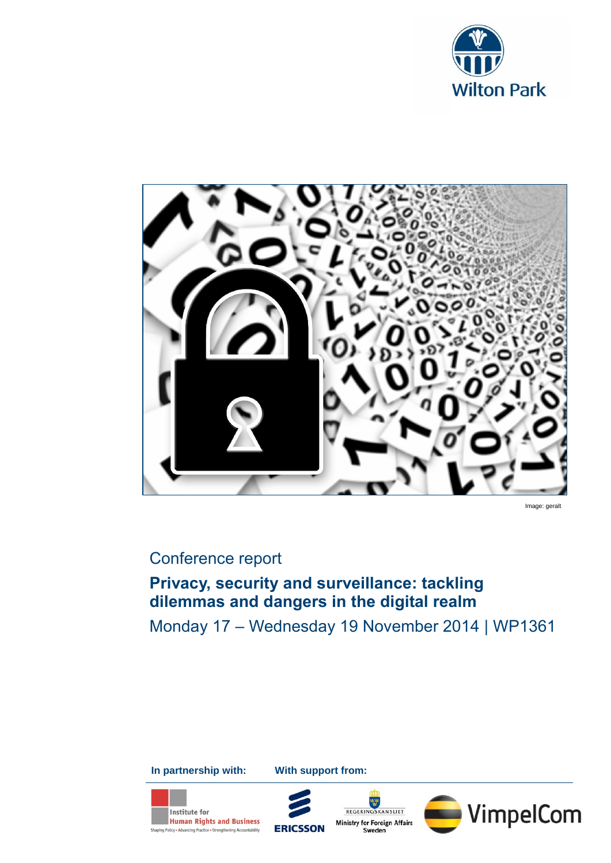



Image: geralt

# Conference report

# **Privacy, security and surveillance: tackling dilemmas and dangers in the digital realm**

Monday 17 – Wednesday 19 November 2014 | WP1361

**In partnership with: With support from:**





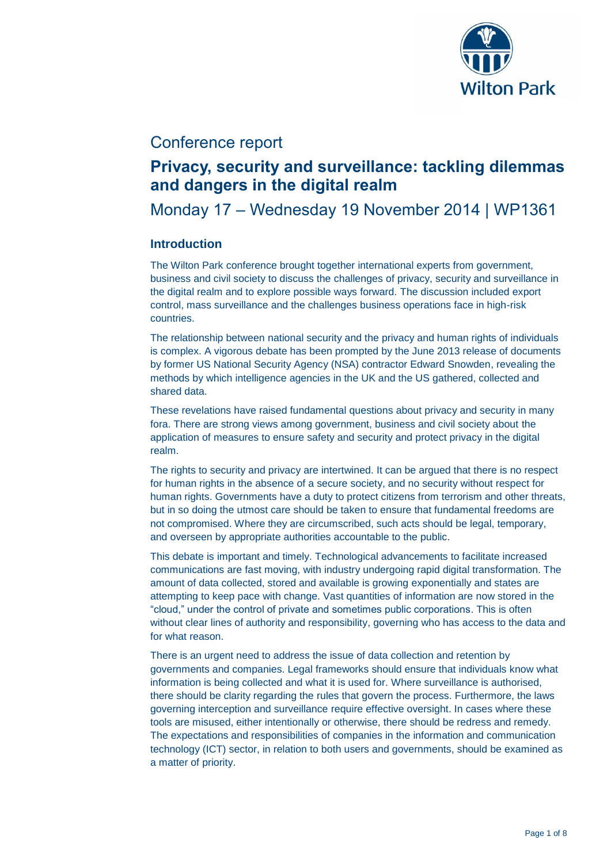

## Conference report

## **Privacy, security and surveillance: tackling dilemmas and dangers in the digital realm**

## Monday 17 – Wednesday 19 November 2014 | WP1361

### **Introduction**

The Wilton Park conference brought together international experts from government, business and civil society to discuss the challenges of privacy, security and surveillance in the digital realm and to explore possible ways forward. The discussion included export control, mass surveillance and the challenges business operations face in high-risk countries.

The relationship between national security and the privacy and human rights of individuals is complex. A vigorous debate has been prompted by the June 2013 release of documents by former US National Security Agency (NSA) contractor Edward Snowden, revealing the methods by which intelligence agencies in the UK and the US gathered, collected and shared data.

These revelations have raised fundamental questions about privacy and security in many fora. There are strong views among government, business and civil society about the application of measures to ensure safety and security and protect privacy in the digital realm.

The rights to security and privacy are intertwined. It can be argued that there is no respect for human rights in the absence of a secure society, and no security without respect for human rights. Governments have a duty to protect citizens from terrorism and other threats, but in so doing the utmost care should be taken to ensure that fundamental freedoms are not compromised. Where they are circumscribed, such acts should be legal, temporary, and overseen by appropriate authorities accountable to the public.

This debate is important and timely. Technological advancements to facilitate increased communications are fast moving, with industry undergoing rapid digital transformation. The amount of data collected, stored and available is growing exponentially and states are attempting to keep pace with change. Vast quantities of information are now stored in the "cloud," under the control of private and sometimes public corporations. This is often without clear lines of authority and responsibility, governing who has access to the data and for what reason.

There is an urgent need to address the issue of data collection and retention by governments and companies. Legal frameworks should ensure that individuals know what information is being collected and what it is used for. Where surveillance is authorised, there should be clarity regarding the rules that govern the process. Furthermore, the laws governing interception and surveillance require effective oversight. In cases where these tools are misused, either intentionally or otherwise, there should be redress and remedy. The expectations and responsibilities of companies in the information and communication technology (ICT) sector, in relation to both users and governments, should be examined as a matter of priority.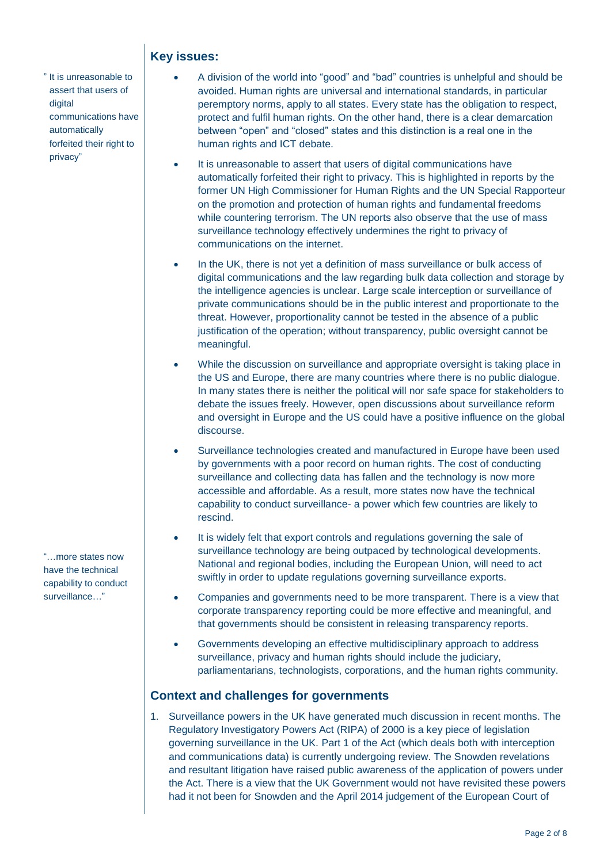### **Key issues:**

" It is unreasonable to assert that users of digital communications have automatically forfeited their right to privacy"

 A division of the world into "good" and "bad" countries is unhelpful and should be avoided. Human rights are universal and international standards, in particular peremptory norms, apply to all states. Every state has the obligation to respect, protect and fulfil human rights. On the other hand, there is a clear demarcation between "open" and "closed" states and this distinction is a real one in the human rights and ICT debate.

- It is unreasonable to assert that users of digital communications have automatically forfeited their right to privacy. This is highlighted in reports by the former UN High Commissioner for Human Rights and the UN Special Rapporteur on the promotion and protection of human rights and fundamental freedoms while countering terrorism. The UN reports also observe that the use of mass surveillance technology effectively undermines the right to privacy of communications on the internet.
- In the UK, there is not yet a definition of mass surveillance or bulk access of digital communications and the law regarding bulk data collection and storage by the intelligence agencies is unclear. Large scale interception or surveillance of private communications should be in the public interest and proportionate to the threat. However, proportionality cannot be tested in the absence of a public justification of the operation; without transparency, public oversight cannot be meaningful.
- While the discussion on surveillance and appropriate oversight is taking place in the US and Europe, there are many countries where there is no public dialogue. In many states there is neither the political will nor safe space for stakeholders to debate the issues freely. However, open discussions about surveillance reform and oversight in Europe and the US could have a positive influence on the global discourse.
- Surveillance technologies created and manufactured in Europe have been used by governments with a poor record on human rights. The cost of conducting surveillance and collecting data has fallen and the technology is now more accessible and affordable. As a result, more states now have the technical capability to conduct surveillance- a power which few countries are likely to rescind.
- It is widely felt that export controls and regulations governing the sale of surveillance technology are being outpaced by technological developments. National and regional bodies, including the European Union, will need to act swiftly in order to update regulations governing surveillance exports.
- Companies and governments need to be more transparent. There is a view that corporate transparency reporting could be more effective and meaningful, and that governments should be consistent in releasing transparency reports.
- Governments developing an effective multidisciplinary approach to address surveillance, privacy and human rights should include the judiciary, parliamentarians, technologists, corporations, and the human rights community.

### **Context and challenges for governments**

1. Surveillance powers in the UK have generated much discussion in recent months. The Regulatory Investigatory Powers Act (RIPA) of 2000 is a key piece of legislation governing surveillance in the UK. Part 1 of the Act (which deals both with interception and communications data) is currently undergoing review. The Snowden revelations and resultant litigation have raised public awareness of the application of powers under the Act. There is a view that the UK Government would not have revisited these powers had it not been for Snowden and the April 2014 judgement of the European Court of

"…more states now have the technical capability to conduct surveillance…"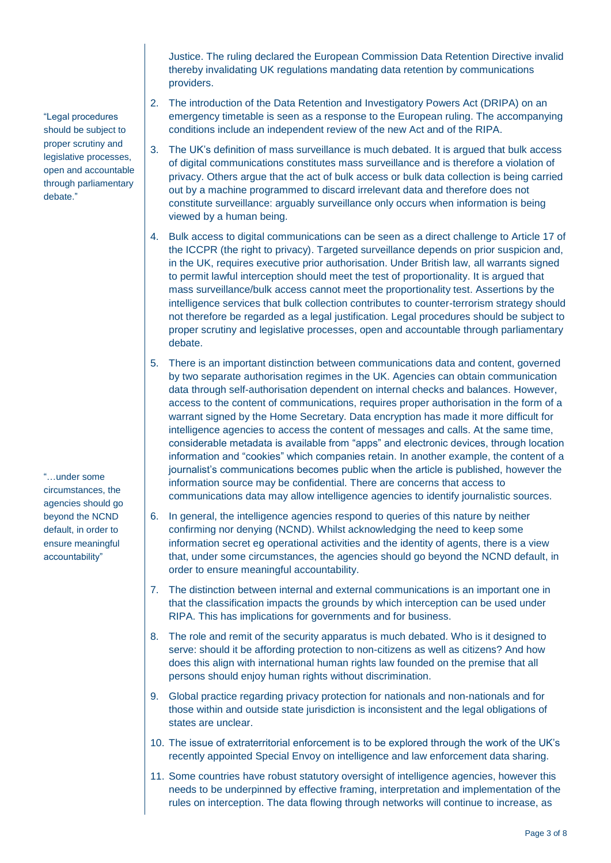Justice. The ruling declared the European Commission Data Retention Directive invalid thereby invalidating UK regulations mandating data retention by communications providers.

- 2. The introduction of the Data Retention and Investigatory Powers Act (DRIPA) on an emergency timetable is seen as a response to the European ruling. The accompanying conditions include an independent review of the new Act and of the RIPA.
- 3. The UK's definition of mass surveillance is much debated. It is argued that bulk access of digital communications constitutes mass surveillance and is therefore a violation of privacy. Others argue that the act of bulk access or bulk data collection is being carried out by a machine programmed to discard irrelevant data and therefore does not constitute surveillance: arguably surveillance only occurs when information is being viewed by a human being.
- 4. Bulk access to digital communications can be seen as a direct challenge to Article 17 of the ICCPR (the right to privacy). Targeted surveillance depends on prior suspicion and, in the UK, requires executive prior authorisation. Under British law, all warrants signed to permit lawful interception should meet the test of proportionality. It is argued that mass surveillance/bulk access cannot meet the proportionality test. Assertions by the intelligence services that bulk collection contributes to counter-terrorism strategy should not therefore be regarded as a legal justification. Legal procedures should be subject to proper scrutiny and legislative processes, open and accountable through parliamentary debate.
- 5. There is an important distinction between communications data and content, governed by two separate authorisation regimes in the UK. Agencies can obtain communication data through self-authorisation dependent on internal checks and balances. However, access to the content of communications, requires proper authorisation in the form of a warrant signed by the Home Secretary. Data encryption has made it more difficult for intelligence agencies to access the content of messages and calls. At the same time, considerable metadata is available from "apps" and electronic devices, through location information and "cookies" which companies retain. In another example, the content of a journalist's communications becomes public when the article is published, however the information source may be confidential. There are concerns that access to communications data may allow intelligence agencies to identify journalistic sources.
- 6. In general, the intelligence agencies respond to queries of this nature by neither confirming nor denying (NCND). Whilst acknowledging the need to keep some information secret eg operational activities and the identity of agents, there is a view that, under some circumstances, the agencies should go beyond the NCND default, in order to ensure meaningful accountability.
- 7. The distinction between internal and external communications is an important one in that the classification impacts the grounds by which interception can be used under RIPA. This has implications for governments and for business.
- 8. The role and remit of the security apparatus is much debated. Who is it designed to serve: should it be affording protection to non-citizens as well as citizens? And how does this align with international human rights law founded on the premise that all persons should enjoy human rights without discrimination.
- 9. Global practice regarding privacy protection for nationals and non-nationals and for those within and outside state jurisdiction is inconsistent and the legal obligations of states are unclear.
- 10. The issue of extraterritorial enforcement is to be explored through the work of the UK's recently appointed Special Envoy on intelligence and law enforcement data sharing.
- 11. Some countries have robust statutory oversight of intelligence agencies, however this needs to be underpinned by effective framing, interpretation and implementation of the rules on interception. The data flowing through networks will continue to increase, as

"Legal procedures should be subject to proper scrutiny and legislative processes, open and accountable through parliamentary debate."

"…under some circumstances, the agencies should go beyond the NCND default, in order to ensure meaningful accountability"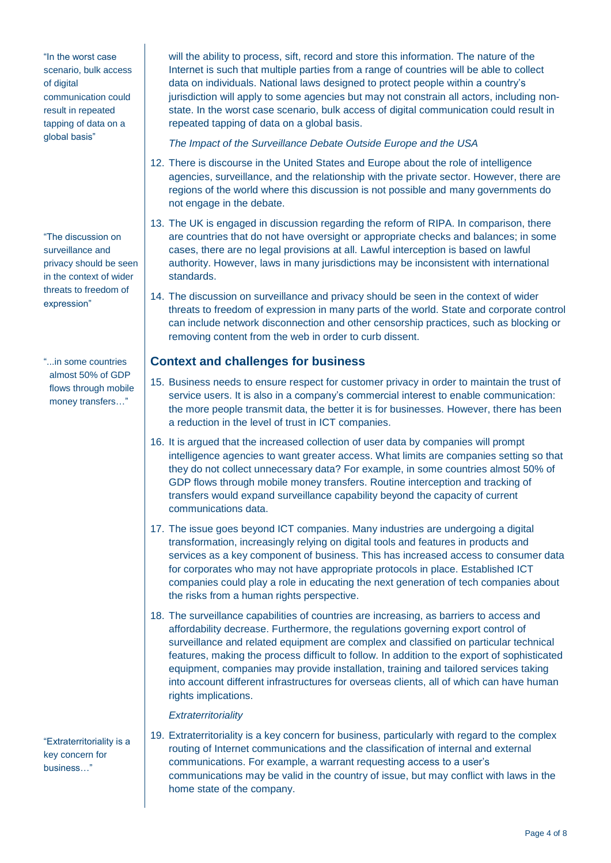"In the worst case scenario, bulk access of digital communication could result in repeated tapping of data on a global basis"

"The discussion on surveillance and privacy should be seen in the context of wider threats to freedom of expression"

"...in some countries almost 50% of GDP flows through mobile money transfers…"

"Extraterritoriality is a key concern for business…"

will the ability to process, sift, record and store this information. The nature of the Internet is such that multiple parties from a range of countries will be able to collect data on individuals. National laws designed to protect people within a country's jurisdiction will apply to some agencies but may not constrain all actors, including nonstate. In the worst case scenario, bulk access of digital communication could result in repeated tapping of data on a global basis.

*The Impact of the Surveillance Debate Outside Europe and the USA*

- 12. There is discourse in the United States and Europe about the role of intelligence agencies, surveillance, and the relationship with the private sector. However, there are regions of the world where this discussion is not possible and many governments do not engage in the debate.
- 13. The UK is engaged in discussion regarding the reform of RIPA. In comparison, there are countries that do not have oversight or appropriate checks and balances; in some cases, there are no legal provisions at all. Lawful interception is based on lawful authority. However, laws in many jurisdictions may be inconsistent with international standards.
- 14. The discussion on surveillance and privacy should be seen in the context of wider threats to freedom of expression in many parts of the world. State and corporate control can include network disconnection and other censorship practices, such as blocking or removing content from the web in order to curb dissent.

#### **Context and challenges for business**

- 15. Business needs to ensure respect for customer privacy in order to maintain the trust of service users. It is also in a company's commercial interest to enable communication: the more people transmit data, the better it is for businesses. However, there has been a reduction in the level of trust in ICT companies.
- 16. It is argued that the increased collection of user data by companies will prompt intelligence agencies to want greater access. What limits are companies setting so that they do not collect unnecessary data? For example, in some countries almost 50% of GDP flows through mobile money transfers. Routine interception and tracking of transfers would expand surveillance capability beyond the capacity of current communications data.
- 17. The issue goes beyond ICT companies. Many industries are undergoing a digital transformation, increasingly relying on digital tools and features in products and services as a key component of business. This has increased access to consumer data for corporates who may not have appropriate protocols in place. Established ICT companies could play a role in educating the next generation of tech companies about the risks from a human rights perspective.
- 18. The surveillance capabilities of countries are increasing, as barriers to access and affordability decrease. Furthermore, the regulations governing export control of surveillance and related equipment are complex and classified on particular technical features, making the process difficult to follow. In addition to the export of sophisticated equipment, companies may provide installation, training and tailored services taking into account different infrastructures for overseas clients, all of which can have human rights implications.

#### *Extraterritoriality*

19. Extraterritoriality is a key concern for business, particularly with regard to the complex routing of Internet communications and the classification of internal and external communications. For example, a warrant requesting access to a user's communications may be valid in the country of issue, but may conflict with laws in the home state of the company.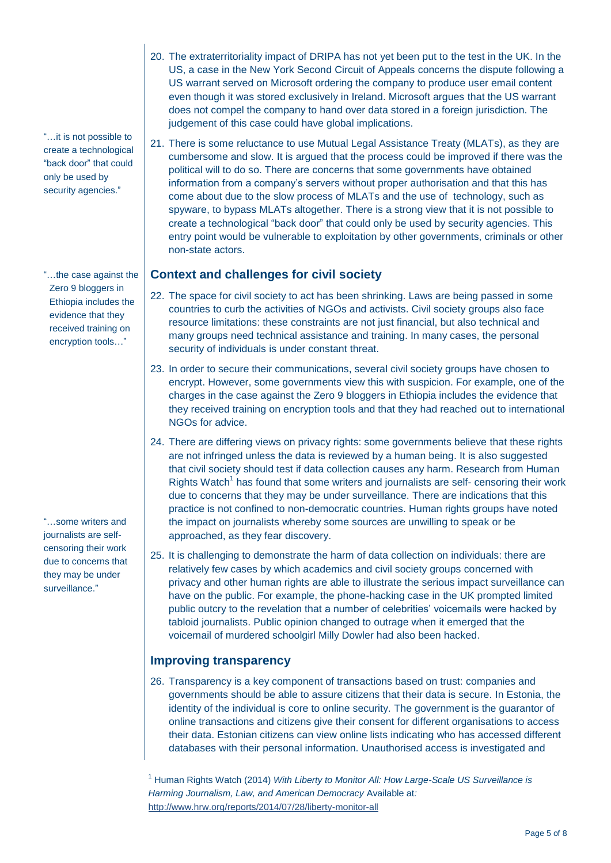"…it is not possible to create a technological "back door" that could only be used by security agencies."

"…the case against the Zero 9 bloggers in Ethiopia includes the evidence that they received training on encryption tools…"

"…some writers and journalists are selfcensoring their work due to concerns that they may be under surveillance."

- 20. The extraterritoriality impact of DRIPA has not yet been put to the test in the UK. In the US, a case in the New York Second Circuit of Appeals concerns the dispute following a US warrant served on Microsoft ordering the company to produce user email content even though it was stored exclusively in Ireland. Microsoft argues that the US warrant does not compel the company to hand over data stored in a foreign jurisdiction. The judgement of this case could have global implications.
- 21. There is some reluctance to use Mutual Legal Assistance Treaty (MLATs), as they are cumbersome and slow. It is argued that the process could be improved if there was the political will to do so. There are concerns that some governments have obtained information from a company's servers without proper authorisation and that this has come about due to the slow process of MLATs and the use of technology, such as spyware, to bypass MLATs altogether. There is a strong view that it is not possible to create a technological "back door" that could only be used by security agencies. This entry point would be vulnerable to exploitation by other governments, criminals or other non-state actors.

#### **Context and challenges for civil society**

- 22. The space for civil society to act has been shrinking. Laws are being passed in some countries to curb the activities of NGOs and activists. Civil society groups also face resource limitations: these constraints are not just financial, but also technical and many groups need technical assistance and training. In many cases, the personal security of individuals is under constant threat.
- 23. In order to secure their communications, several civil society groups have chosen to encrypt. However, some governments view this with suspicion. For example, one of the charges in the case against the Zero 9 bloggers in Ethiopia includes the evidence that they received training on encryption tools and that they had reached out to international NGOs for advice.
- 24. There are differing views on privacy rights: some governments believe that these rights are not infringed unless the data is reviewed by a human being. It is also suggested that civil society should test if data collection causes any harm. Research from Human Rights Watch<sup>1</sup> has found that some writers and journalists are self- censoring their work due to concerns that they may be under surveillance. There are indications that this practice is not confined to non-democratic countries. Human rights groups have noted the impact on journalists whereby some sources are unwilling to speak or be approached, as they fear discovery.
- 25. It is challenging to demonstrate the harm of data collection on individuals: there are relatively few cases by which academics and civil society groups concerned with privacy and other human rights are able to illustrate the serious impact surveillance can have on the public. For example, the phone-hacking case in the UK prompted limited public outcry to the revelation that a number of celebrities' voicemails were hacked by tabloid journalists. Public opinion changed to outrage when it emerged that the voicemail of murdered schoolgirl Milly Dowler had also been hacked.

### **Improving transparency**

26. Transparency is a key component of transactions based on trust: companies and governments should be able to assure citizens that their data is secure. In Estonia, the identity of the individual is core to online security. The government is the guarantor of online transactions and citizens give their consent for different organisations to access their data. Estonian citizens can view online lists indicating who has accessed different databases with their personal information. Unauthorised access is investigated and

<sup>1</sup> Human Rights Watch (2014) *With Liberty to Monitor All: How Large-Scale US Surveillance is Harming Journalism, Law, and American Democracy* Available at*:*  <http://www.hrw.org/reports/2014/07/28/liberty-monitor-all>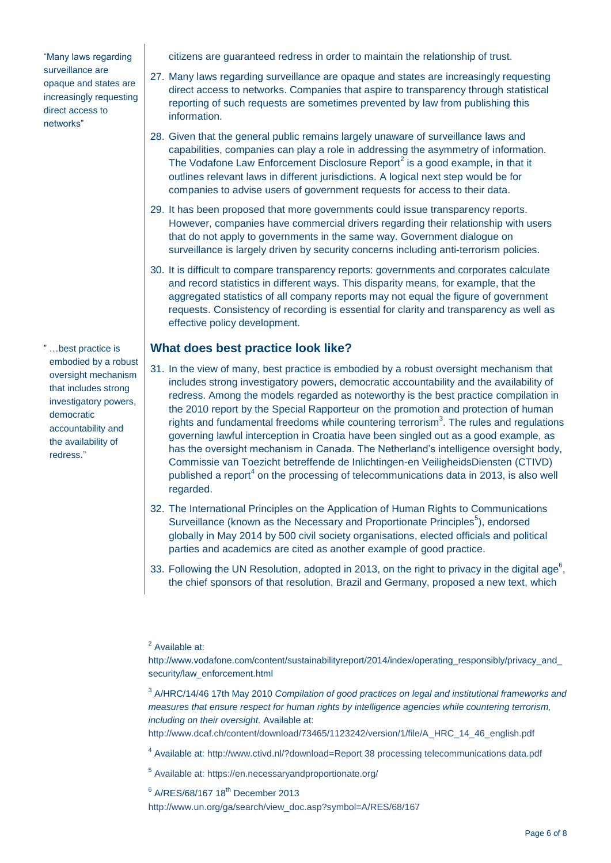"Many laws regarding surveillance are opaque and states are increasingly requesting direct access to networks"

" …best practice is embodied by a robust oversight mechanism that includes strong investigatory powers, democratic accountability and the availability of redress."

citizens are guaranteed redress in order to maintain the relationship of trust.

- 27. Many laws regarding surveillance are opaque and states are increasingly requesting direct access to networks. Companies that aspire to transparency through statistical reporting of such requests are sometimes prevented by law from publishing this information.
- 28. Given that the general public remains largely unaware of surveillance laws and capabilities, companies can play a role in addressing the asymmetry of information. The Vodafone Law Enforcement Disclosure Report $^2$  is a good example, in that it outlines relevant laws in different jurisdictions. A logical next step would be for companies to advise users of government requests for access to their data.
- 29. It has been proposed that more governments could issue transparency reports. However, companies have commercial drivers regarding their relationship with users that do not apply to governments in the same way. Government dialogue on surveillance is largely driven by security concerns including anti-terrorism policies.
- 30. It is difficult to compare transparency reports: governments and corporates calculate and record statistics in different ways. This disparity means, for example, that the aggregated statistics of all company reports may not equal the figure of government requests. Consistency of recording is essential for clarity and transparency as well as effective policy development.

#### **What does best practice look like?**

- 31. In the view of many, best practice is embodied by a robust oversight mechanism that includes strong investigatory powers, democratic accountability and the availability of redress. Among the models regarded as noteworthy is the best practice compilation in the 2010 report by the Special Rapporteur on the promotion and protection of human rights and fundamental freedoms while countering terrorism<sup>3</sup>. The rules and regulations governing lawful interception in Croatia have been singled out as a good example, as has the oversight mechanism in Canada. The Netherland's intelligence oversight body, Commissie van Toezicht betreffende de Inlichtingen-en VeiligheidsDiensten (CTIVD) published a report<sup>4</sup> on the processing of telecommunications data in 2013, is also well regarded.
- 32. The International Principles on the Application of Human Rights to Communications Surveillance (known as the Necessary and Proportionate Principles<sup>5</sup>), endorsed globally in May 2014 by 500 civil society organisations, elected officials and political parties and academics are cited as another example of good practice.
- 33. Following the UN Resolution, adopted in 2013, on the right to privacy in the digital age<sup>6</sup>, the chief sponsors of that resolution, Brazil and Germany, proposed a new text, which

<sup>2</sup> Available at:

3 A/HRC/14/46 17th May 2010 *Compilation of good practices on legal and institutional frameworks and measures that ensure respect for human rights by intelligence agencies while countering terrorism, including on their oversight.* Available at:

http://www.dcaf.ch/content/download/73465/1123242/version/1/file/A\_HRC\_14\_46\_english.pdf

- <sup>4</sup> Available at: http://www.ctivd.nl/?download=Report 38 processing telecommunications data.pdf
- <sup>5</sup> Available at: https://en.necessaryandproportionate.org/

 $6$  A/RES/68/167 18<sup>th</sup> December 2013

http://www.un.org/ga/search/view\_doc.asp?symbol=A/RES/68/167

http://www.vodafone.com/content/sustainabilityreport/2014/index/operating\_responsibly/privacy\_and\_ security/law\_enforcement.html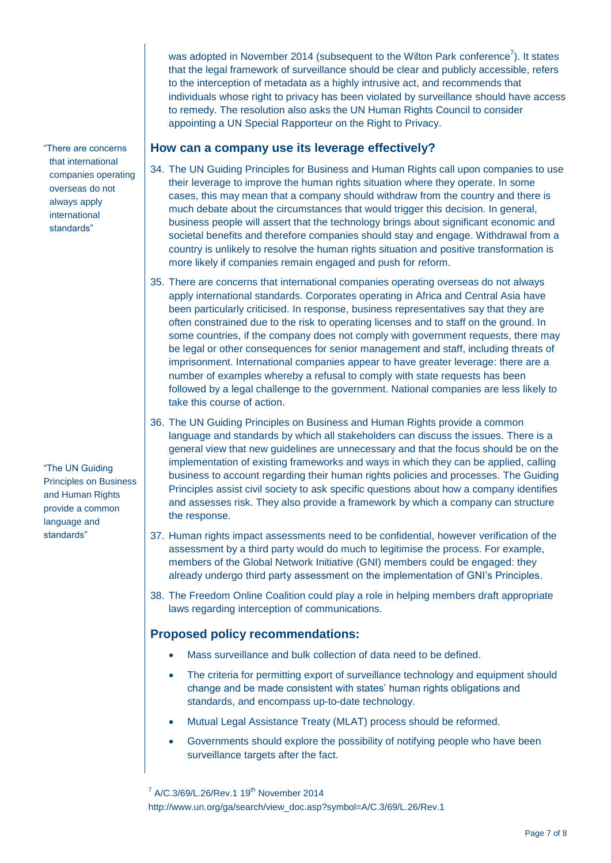was adopted in November 2014 (subsequent to the Wilton Park conference<sup>7</sup>). It states that the legal framework of surveillance should be clear and publicly accessible, refers to the interception of metadata as a highly intrusive act, and recommends that individuals whose right to privacy has been violated by surveillance should have access to remedy. The resolution also asks the UN Human Rights Council to consider appointing a UN Special Rapporteur on the Right to Privacy.

#### **How can a company use its leverage effectively?**

- 34. The UN Guiding Principles for Business and Human Rights call upon companies to use their leverage to improve the human rights situation where they operate. In some cases, this may mean that a company should withdraw from the country and there is much debate about the circumstances that would trigger this decision. In general, business people will assert that the technology brings about significant economic and societal benefits and therefore companies should stay and engage. Withdrawal from a country is unlikely to resolve the human rights situation and positive transformation is more likely if companies remain engaged and push for reform.
	- 35. There are concerns that international companies operating overseas do not always apply international standards. Corporates operating in Africa and Central Asia have been particularly criticised. In response, business representatives say that they are often constrained due to the risk to operating licenses and to staff on the ground. In some countries, if the company does not comply with government requests, there may be legal or other consequences for senior management and staff, including threats of imprisonment. International companies appear to have greater leverage: there are a number of examples whereby a refusal to comply with state requests has been followed by a legal challenge to the government. National companies are less likely to take this course of action.
- 36. The UN Guiding Principles on Business and Human Rights provide a common language and standards by which all stakeholders can discuss the issues. There is a general view that new guidelines are unnecessary and that the focus should be on the implementation of existing frameworks and ways in which they can be applied, calling business to account regarding their human rights policies and processes. The Guiding Principles assist civil society to ask specific questions about how a company identifies and assesses risk. They also provide a framework by which a company can structure the response.
- 37. Human rights impact assessments need to be confidential, however verification of the assessment by a third party would do much to legitimise the process. For example, members of the Global Network Initiative (GNI) members could be engaged: they already undergo third party assessment on the implementation of GNI's Principles.
- 38. The Freedom Online Coalition could play a role in helping members draft appropriate laws regarding interception of communications.

### **Proposed policy recommendations:**

- Mass surveillance and bulk collection of data need to be defined.
- The criteria for permitting export of surveillance technology and equipment should change and be made consistent with states' human rights obligations and standards, and encompass up-to-date technology.
- Mutual Legal Assistance Treaty (MLAT) process should be reformed.
- Governments should explore the possibility of notifying people who have been surveillance targets after the fact.

 $7$  A/C.3/69/L.26/Rev.1 19<sup>th</sup> November 2014 http://www.un.org/ga/search/view\_doc.asp?symbol=A/C.3/69/L.26/Rev.1

"The UN Guiding Principles on Business and Human Rights provide a common language and standards"

"There are concerns that international companies operating overseas do not always apply international standards"